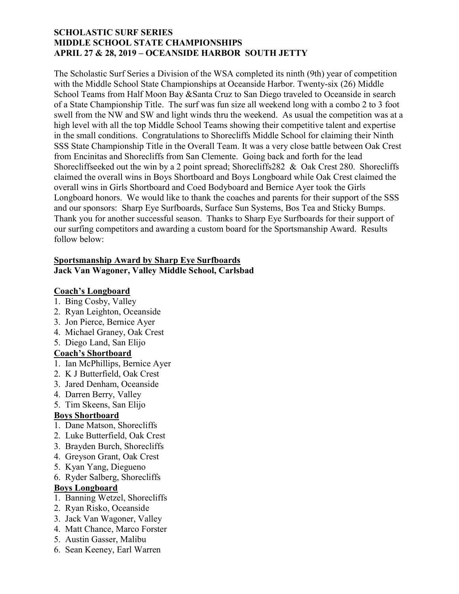## SCHOLASTIC SURF SERIES MIDDLE SCHOOL STATE CHAMPIONSHIPS APRIL 27 & 28, 2019 – OCEANSIDE HARBOR SOUTH JETTY

The Scholastic Surf Series a Division of the WSA completed its ninth (9th) year of competition with the Middle School State Championships at Oceanside Harbor. Twenty-six (26) Middle School Teams from Half Moon Bay &Santa Cruz to San Diego traveled to Oceanside in search of a State Championship Title. The surf was fun size all weekend long with a combo 2 to 3 foot swell from the NW and SW and light winds thru the weekend. As usual the competition was at a high level with all the top Middle School Teams showing their competitive talent and expertise in the small conditions. Congratulations to Shorecliffs Middle School for claiming their Ninth SSS State Championship Title in the Overall Team. It was a very close battle between Oak Crest from Encinitas and Shorecliffs from San Clemente. Going back and forth for the lead Shorecliffseeked out the win by a 2 point spread; Shorecliffs282 & Oak Crest 280. Shorecliffs claimed the overall wins in Boys Shortboard and Boys Longboard while Oak Crest claimed the overall wins in Girls Shortboard and Coed Bodyboard and Bernice Ayer took the Girls Longboard honors. We would like to thank the coaches and parents for their support of the SSS and our sponsors: Sharp Eye Surfboards, Surface Sun Systems, Bos Tea and Sticky Bumps. Thank you for another successful season. Thanks to Sharp Eye Surfboards for their support of our surfing competitors and awarding a custom board for the Sportsmanship Award. Results follow below:

#### Sportsmanship Award by Sharp Eye Surfboards Jack Van Wagoner, Valley Middle School, Carlsbad

# Coach's Longboard

- 1. Bing Cosby, Valley
- 2. Ryan Leighton, Oceanside
- 3. Jon Pierce, Bernice Ayer
- 4. Michael Graney, Oak Crest
- 5. Diego Land, San Elijo

# Coach's Shortboard

- 1. Ian McPhillips, Bernice Ayer
- 2. K J Butterfield, Oak Crest
- 3. Jared Denham, Oceanside
- 4. Darren Berry, Valley
- 5. Tim Skeens, San Elijo

# Boys Shortboard

- 1. Dane Matson, Shorecliffs
- 2. Luke Butterfield, Oak Crest
- 3. Brayden Burch, Shorecliffs
- 4. Greyson Grant, Oak Crest
- 5. Kyan Yang, Diegueno
- 6. Ryder Salberg, Shorecliffs

# Boys Longboard

- 1. Banning Wetzel, Shorecliffs
- 2. Ryan Risko, Oceanside
- 3. Jack Van Wagoner, Valley
- 4. Matt Chance, Marco Forster
- 5. Austin Gasser, Malibu
- 6. Sean Keeney, Earl Warren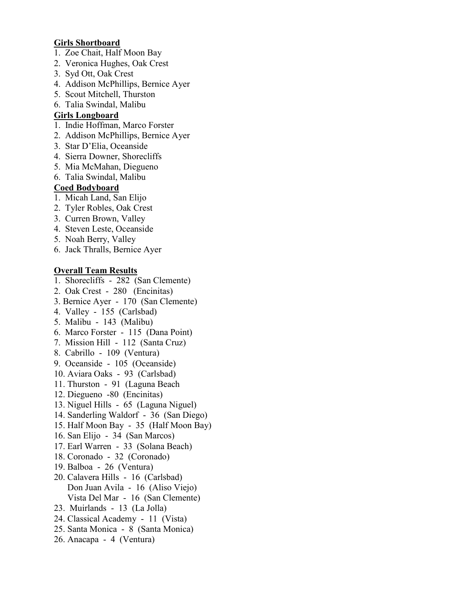## Girls Shortboard

- 1. Zoe Chait, Half Moon Bay
- 2. Veronica Hughes, Oak Crest
- 3. Syd Ott, Oak Crest
- 4. Addison McPhillips, Bernice Ayer
- 5. Scout Mitchell, Thurston
- 6. Talia Swindal, Malibu

## Girls Longboard

- 1. Indie Hoffman, Marco Forster
- 2. Addison McPhillips, Bernice Ayer
- 3. Star D'Elia, Oceanside
- 4. Sierra Downer, Shorecliffs
- 5. Mia McMahan, Diegueno
- 6. Talia Swindal, Malibu

### Coed Bodyboard

- 1. Micah Land, San Elijo
- 2. Tyler Robles, Oak Crest
- 3. Curren Brown, Valley
- 4. Steven Leste, Oceanside
- 5. Noah Berry, Valley
- 6. Jack Thralls, Bernice Ayer

### Overall Team Results

- 1. Shorecliffs 282 (San Clemente)
- 2. Oak Crest 280 (Encinitas)
- 3. Bernice Ayer 170 (San Clemente)
- 4. Valley 155 (Carlsbad)
- 5. Malibu 143 (Malibu)
- 6. Marco Forster 115 (Dana Point)
- 7. Mission Hill 112 (Santa Cruz)
- 8. Cabrillo 109 (Ventura)
- 9. Oceanside 105 (Oceanside)
- 10. Aviara Oaks 93 (Carlsbad)
- 11. Thurston 91 (Laguna Beach
- 12. Diegueno -80 (Encinitas)
- 13. Niguel Hills 65 (Laguna Niguel)
- 14. Sanderling Waldorf 36 (San Diego)
- 15. Half Moon Bay 35 (Half Moon Bay)
- 16. San Elijo 34 (San Marcos)
- 17. Earl Warren 33 (Solana Beach)
- 18. Coronado 32 (Coronado)
- 19. Balboa 26 (Ventura)
- 20. Calavera Hills 16 (Carlsbad) Don Juan Avila - 16 (Aliso Viejo) Vista Del Mar - 16 (San Clemente)
- 23. Muirlands 13 (La Jolla)
- 24. Classical Academy 11 (Vista)
- 25. Santa Monica 8 (Santa Monica)
- 26. Anacapa 4 (Ventura)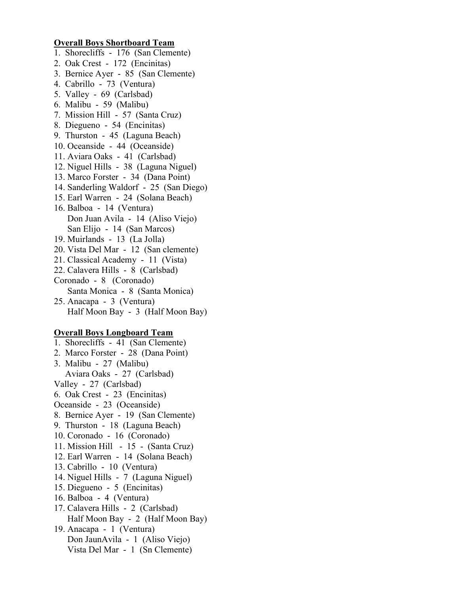## Overall Boys Shortboard Team

- 1. Shorecliffs 176 (San Clemente)
- 2. Oak Crest 172 (Encinitas)
- 3. Bernice Ayer 85 (San Clemente)
- 4. Cabrillo 73 (Ventura)
- 5. Valley 69 (Carlsbad)
- 6. Malibu 59 (Malibu)
- 7. Mission Hill 57 (Santa Cruz)
- 8. Diegueno 54 (Encinitas)
- 9. Thurston 45 (Laguna Beach)
- 10. Oceanside 44 (Oceanside)
- 11. Aviara Oaks 41 (Carlsbad)
- 12. Niguel Hills 38 (Laguna Niguel)
- 13. Marco Forster 34 (Dana Point)
- 14. Sanderling Waldorf 25 (San Diego)
- 15. Earl Warren 24 (Solana Beach)
- 16. Balboa 14 (Ventura) Don Juan Avila - 14 (Aliso Viejo) San Elijo - 14 (San Marcos)
- 19. Muirlands 13 (La Jolla)
- 20. Vista Del Mar 12 (San clemente)
- 21. Classical Academy 11 (Vista)
- 22. Calavera Hills 8 (Carlsbad)
- Coronado 8 (Coronado) Santa Monica - 8 (Santa Monica)
- 25. Anacapa 3 (Ventura) Half Moon Bay - 3 (Half Moon Bay)

#### Overall Boys Longboard Team

1. Shorecliffs - 41 (San Clemente) 2. Marco Forster - 28 (Dana Point) 3. Malibu - 27 (Malibu) Aviara Oaks - 27 (Carlsbad) Valley - 27 (Carlsbad) 6. Oak Crest - 23 (Encinitas) Oceanside - 23 (Oceanside) 8. Bernice Ayer - 19 (San Clemente) 9. Thurston - 18 (Laguna Beach) 10. Coronado - 16 (Coronado) 11. Mission Hill - 15 - (Santa Cruz) 12. Earl Warren - 14 (Solana Beach) 13. Cabrillo - 10 (Ventura) 14. Niguel Hills - 7 (Laguna Niguel) 15. Diegueno - 5 (Encinitas) 16. Balboa - 4 (Ventura) 17. Calavera Hills - 2 (Carlsbad) Half Moon Bay - 2 (Half Moon Bay) 19. Anacapa - 1 (Ventura) Don JaunAvila - 1 (Aliso Viejo) Vista Del Mar - 1 (Sn Clemente)